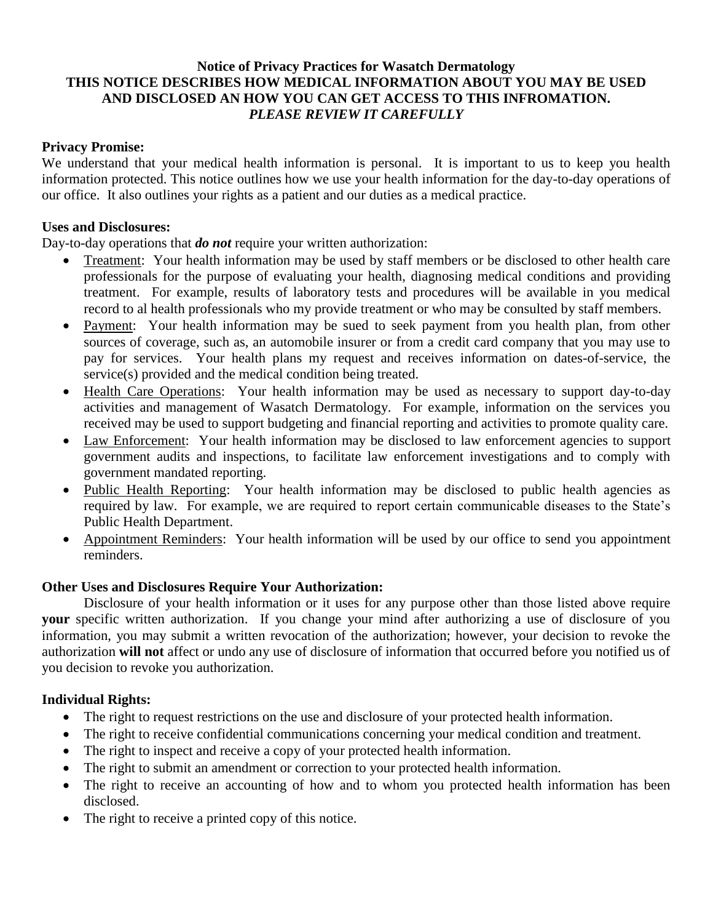# **Notice of Privacy Practices for Wasatch Dermatology THIS NOTICE DESCRIBES HOW MEDICAL INFORMATION ABOUT YOU MAY BE USED AND DISCLOSED AN HOW YOU CAN GET ACCESS TO THIS INFROMATION.** *PLEASE REVIEW IT CAREFULLY*

## **Privacy Promise:**

We understand that your medical health information is personal. It is important to us to keep you health information protected. This notice outlines how we use your health information for the day-to-day operations of our office. It also outlines your rights as a patient and our duties as a medical practice.

### **Uses and Disclosures:**

Day-to-day operations that *do not* require your written authorization:

- Treatment: Your health information may be used by staff members or be disclosed to other health care professionals for the purpose of evaluating your health, diagnosing medical conditions and providing treatment. For example, results of laboratory tests and procedures will be available in you medical record to al health professionals who my provide treatment or who may be consulted by staff members.
- Payment: Your health information may be sued to seek payment from you health plan, from other sources of coverage, such as, an automobile insurer or from a credit card company that you may use to pay for services. Your health plans my request and receives information on dates-of-service, the service(s) provided and the medical condition being treated.
- Health Care Operations: Your health information may be used as necessary to support day-to-day activities and management of Wasatch Dermatology. For example, information on the services you received may be used to support budgeting and financial reporting and activities to promote quality care.
- Law Enforcement: Your health information may be disclosed to law enforcement agencies to support government audits and inspections, to facilitate law enforcement investigations and to comply with government mandated reporting.
- Public Health Reporting: Your health information may be disclosed to public health agencies as required by law. For example, we are required to report certain communicable diseases to the State's Public Health Department.
- Appointment Reminders: Your health information will be used by our office to send you appointment reminders.

### **Other Uses and Disclosures Require Your Authorization:**

Disclosure of your health information or it uses for any purpose other than those listed above require **your** specific written authorization. If you change your mind after authorizing a use of disclosure of you information, you may submit a written revocation of the authorization; however, your decision to revoke the authorization **will not** affect or undo any use of disclosure of information that occurred before you notified us of you decision to revoke you authorization.

### **Individual Rights:**

- The right to request restrictions on the use and disclosure of your protected health information.
- The right to receive confidential communications concerning your medical condition and treatment.
- The right to inspect and receive a copy of your protected health information.
- The right to submit an amendment or correction to your protected health information.
- The right to receive an accounting of how and to whom you protected health information has been disclosed.
- The right to receive a printed copy of this notice.